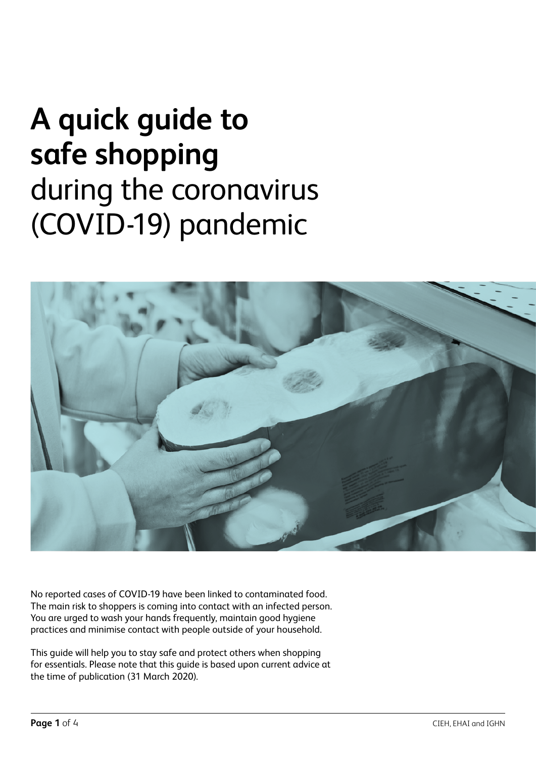# **A quick guide to safe shopping**  during the coronavirus (COVID-19) pandemic



No reported cases of COVID-19 have been linked to contaminated food. The main risk to shoppers is coming into contact with an infected person. You are urged to wash your hands frequently, maintain good hygiene practices and minimise contact with people outside of your household.

This guide will help you to stay safe and protect others when shopping for essentials. Please note that this guide is based upon current advice at the time of publication (31 March 2020).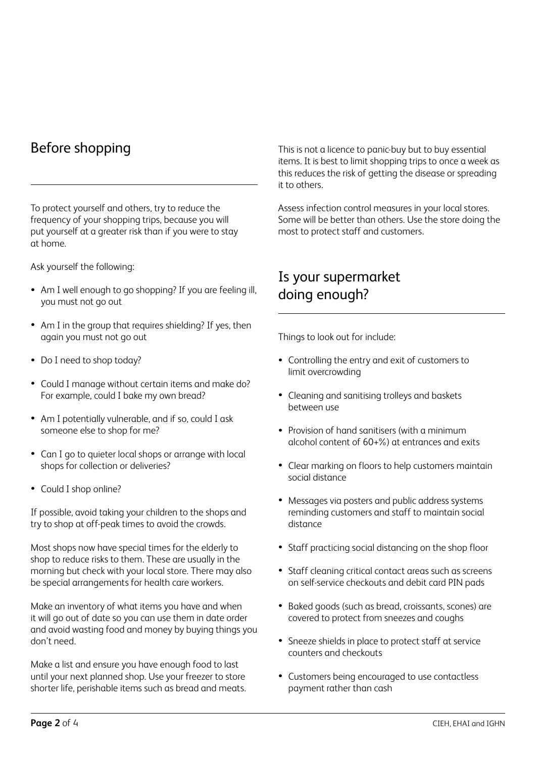#### Before shopping

To protect yourself and others, try to reduce the frequency of your shopping trips, because you will put yourself at a greater risk than if you were to stay at home.

Ask yourself the following:

- Am I well enough to go shopping? If you are feeling ill, you must not go out
- Am I in the group that requires shielding? If yes, then again you must not go out
- Do I need to shop today?
- Could I manage without certain items and make do? For example, could I bake my own bread?
- Am I potentially vulnerable, and if so, could I ask someone else to shop for me?
- Can I go to quieter local shops or arrange with local shops for collection or deliveries?
- Could I shop online?

If possible, avoid taking your children to the shops and try to shop at off-peak times to avoid the crowds.

Most shops now have special times for the elderly to shop to reduce risks to them. These are usually in the morning but check with your local store. There may also be special arrangements for health care workers.

Make an inventory of what items you have and when it will go out of date so you can use them in date order and avoid wasting food and money by buying things you don't need.

Make a list and ensure you have enough food to last until your next planned shop. Use your freezer to store shorter life, perishable items such as bread and meats. This is not a licence to panic-buy but to buy essential items. It is best to limit shopping trips to once a week as this reduces the risk of getting the disease or spreading it to others.

Assess infection control measures in your local stores. Some will be better than others. Use the store doing the most to protect staff and customers.

#### Is your supermarket doing enough?

Things to look out for include:

- Controlling the entry and exit of customers to limit overcrowding
- Cleaning and sanitising trolleys and baskets between use
- Provision of hand sanitisers (with a minimum alcohol content of 60+%) at entrances and exits
- Clear marking on floors to help customers maintain social distance
- Messages via posters and public address systems reminding customers and staff to maintain social distance
- Staff practicing social distancing on the shop floor
- Staff cleaning critical contact areas such as screens on self-service checkouts and debit card PIN pads
- Baked goods (such as bread, croissants, scones) are covered to protect from sneezes and coughs
- Sneeze shields in place to protect staff at service counters and checkouts
- Customers being encouraged to use contactless payment rather than cash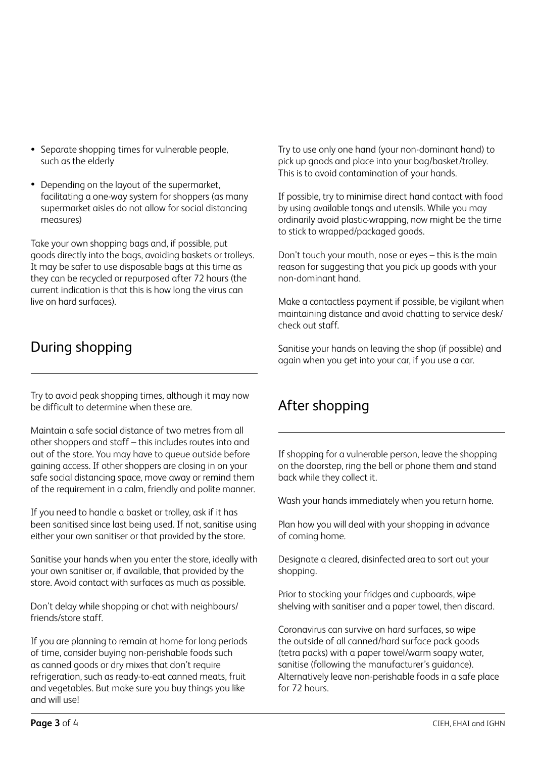- Separate shopping times for vulnerable people, such as the elderly
- Depending on the layout of the supermarket, facilitating a one-way system for shoppers (as many supermarket aisles do not allow for social distancing measures)

Take your own shopping bags and, if possible, put goods directly into the bags, avoiding baskets or trolleys. It may be safer to use disposable bags at this time as they can be recycled or repurposed after 72 hours (the current indication is that this is how long the virus can live on hard surfaces).

## During shopping

Try to avoid peak shopping times, although it may now be difficult to determine when these are.

Maintain a safe social distance of two metres from all other shoppers and staff – this includes routes into and out of the store. You may have to queue outside before gaining access. If other shoppers are closing in on your safe social distancing space, move away or remind them of the requirement in a calm, friendly and polite manner.

If you need to handle a basket or trolley, ask if it has been sanitised since last being used. If not, sanitise using either your own sanitiser or that provided by the store.

Sanitise your hands when you enter the store, ideally with your own sanitiser or, if available, that provided by the store. Avoid contact with surfaces as much as possible.

Don't delay while shopping or chat with neighbours/ friends/store staff.

If you are planning to remain at home for long periods of time, consider buying non-perishable foods such as canned goods or dry mixes that don't require refrigeration, such as ready-to-eat canned meats, fruit and vegetables. But make sure you buy things you like and will use!

Try to use only one hand (your non-dominant hand) to pick up goods and place into your bag/basket/trolley. This is to avoid contamination of your hands.

If possible, try to minimise direct hand contact with food by using available tongs and utensils. While you may ordinarily avoid plastic-wrapping, now might be the time to stick to wrapped/packaged goods.

Don't touch your mouth, nose or eyes – this is the main reason for suggesting that you pick up goods with your non-dominant hand.

Make a contactless payment if possible, be vigilant when maintaining distance and avoid chatting to service desk/ check out staff.

Sanitise your hands on leaving the shop (if possible) and again when you get into your car, if you use a car.

## After shopping

If shopping for a vulnerable person, leave the shopping on the doorstep, ring the bell or phone them and stand back while they collect it.

Wash your hands immediately when you return home.

Plan how you will deal with your shopping in advance of coming home.

Designate a cleared, disinfected area to sort out your shopping.

Prior to stocking your fridges and cupboards, wipe shelving with sanitiser and a paper towel, then discard.

Coronavirus can survive on hard surfaces, so wipe the outside of all canned/hard surface pack goods (tetra packs) with a paper towel/warm soapy water, sanitise (following the manufacturer's guidance). Alternatively leave non-perishable foods in a safe place for 72 hours.